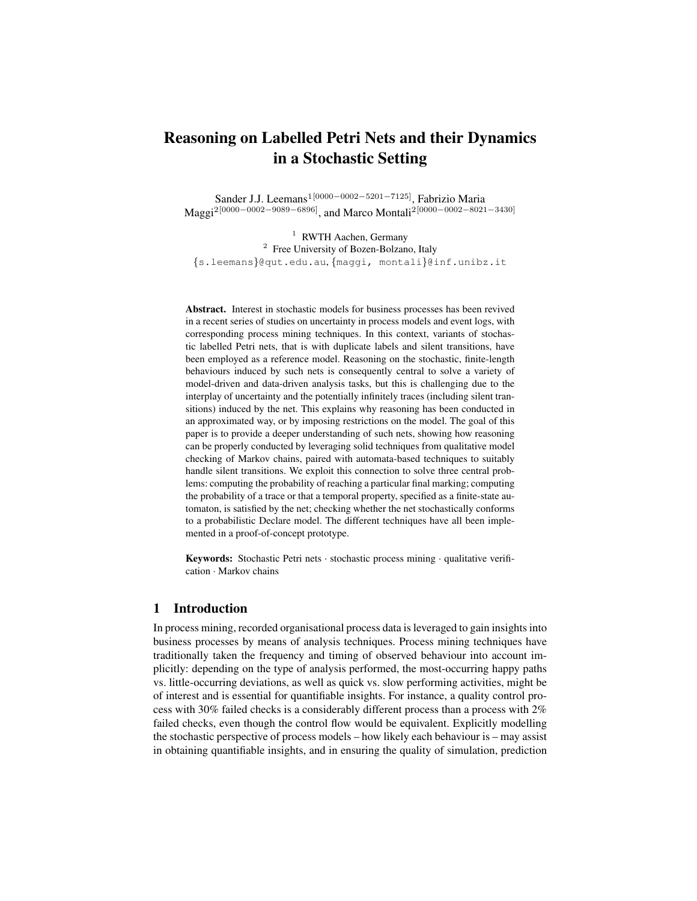# Reasoning on Labelled Petri Nets and their Dynamics in a Stochastic Setting

Sander J.J. Leemans1[0000−0002−5201−7125], Fabrizio Maria Maggi2[0000−0002−9089−6896], and Marco Montali2[0000−0002−8021−3430]

<sup>1</sup> RWTH Aachen, Germany <sup>2</sup> Free University of Bozen-Bolzano, Italy {s.leemans}@qut.edu.au, {maggi, montali}@inf.unibz.it

Abstract. Interest in stochastic models for business processes has been revived in a recent series of studies on uncertainty in process models and event logs, with corresponding process mining techniques. In this context, variants of stochastic labelled Petri nets, that is with duplicate labels and silent transitions, have been employed as a reference model. Reasoning on the stochastic, finite-length behaviours induced by such nets is consequently central to solve a variety of model-driven and data-driven analysis tasks, but this is challenging due to the interplay of uncertainty and the potentially infinitely traces (including silent transitions) induced by the net. This explains why reasoning has been conducted in an approximated way, or by imposing restrictions on the model. The goal of this paper is to provide a deeper understanding of such nets, showing how reasoning can be properly conducted by leveraging solid techniques from qualitative model checking of Markov chains, paired with automata-based techniques to suitably handle silent transitions. We exploit this connection to solve three central problems: computing the probability of reaching a particular final marking; computing the probability of a trace or that a temporal property, specified as a finite-state automaton, is satisfied by the net; checking whether the net stochastically conforms to a probabilistic Declare model. The different techniques have all been implemented in a proof-of-concept prototype.

Keywords: Stochastic Petri nets · stochastic process mining · qualitative verification · Markov chains

## 1 Introduction

In process mining, recorded organisational process data is leveraged to gain insights into business processes by means of analysis techniques. Process mining techniques have traditionally taken the frequency and timing of observed behaviour into account implicitly: depending on the type of analysis performed, the most-occurring happy paths vs. little-occurring deviations, as well as quick vs. slow performing activities, might be of interest and is essential for quantifiable insights. For instance, a quality control process with 30% failed checks is a considerably different process than a process with 2% failed checks, even though the control flow would be equivalent. Explicitly modelling the stochastic perspective of process models – how likely each behaviour is – may assist in obtaining quantifiable insights, and in ensuring the quality of simulation, prediction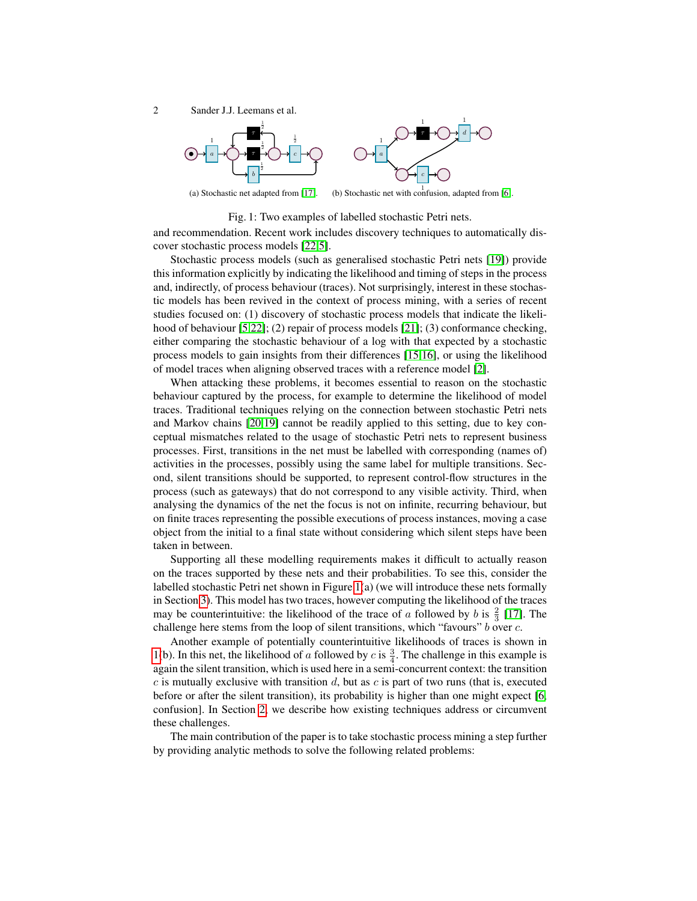<span id="page-1-0"></span>



(a) Stochastic net adapted from [\[17\]](#page-16-0). (b) Stochastic net with confusion, adapted from [\[6\]](#page-16-1).

Fig. 1: Two examples of labelled stochastic Petri nets.

and recommendation. Recent work includes discovery techniques to automatically discover stochastic process models [\[22](#page-16-2)[,5\]](#page-16-3).

Stochastic process models (such as generalised stochastic Petri nets [\[19\]](#page-16-4)) provide this information explicitly by indicating the likelihood and timing of steps in the process and, indirectly, of process behaviour (traces). Not surprisingly, interest in these stochastic models has been revived in the context of process mining, with a series of recent studies focused on: (1) discovery of stochastic process models that indicate the likeli-hood of behaviour [\[5](#page-16-3)[,22\]](#page-16-2); (2) repair of process models [\[21\]](#page-16-5); (3) conformance checking, either comparing the stochastic behaviour of a log with that expected by a stochastic process models to gain insights from their differences [\[15,](#page-16-6)[16\]](#page-16-7), or using the likelihood of model traces when aligning observed traces with a reference model [\[2\]](#page-16-8).

When attacking these problems, it becomes essential to reason on the stochastic behaviour captured by the process, for example to determine the likelihood of model traces. Traditional techniques relying on the connection between stochastic Petri nets and Markov chains [\[20](#page-16-9)[,19\]](#page-16-4) cannot be readily applied to this setting, due to key conceptual mismatches related to the usage of stochastic Petri nets to represent business processes. First, transitions in the net must be labelled with corresponding (names of) activities in the processes, possibly using the same label for multiple transitions. Second, silent transitions should be supported, to represent control-flow structures in the process (such as gateways) that do not correspond to any visible activity. Third, when analysing the dynamics of the net the focus is not on infinite, recurring behaviour, but on finite traces representing the possible executions of process instances, moving a case object from the initial to a final state without considering which silent steps have been taken in between.

Supporting all these modelling requirements makes it difficult to actually reason on the traces supported by these nets and their probabilities. To see this, consider the labelled stochastic Petri net shown in Figure [1\(](#page-1-0)a) (we will introduce these nets formally in Section [3\)](#page-3-0). This model has two traces, however computing the likelihood of the traces may be counterintuitive: the likelihood of the trace of a followed by b is  $\frac{2}{3}$  [\[17\]](#page-16-0). The challenge here stems from the loop of silent transitions, which "favours" b over c.

Another example of potentially counterintuitive likelihoods of traces is shown in [1\(](#page-1-0)b). In this net, the likelihood of a followed by c is  $\frac{3}{4}$ . The challenge in this example is again the silent transition, which is used here in a semi-concurrent context: the transition  $c$  is mutually exclusive with transition  $d$ , but as  $c$  is part of two runs (that is, executed before or after the silent transition), its probability is higher than one might expect [\[6,](#page-16-1) confusion]. In Section [2,](#page-2-0) we describe how existing techniques address or circumvent these challenges.

The main contribution of the paper is to take stochastic process mining a step further by providing analytic methods to solve the following related problems: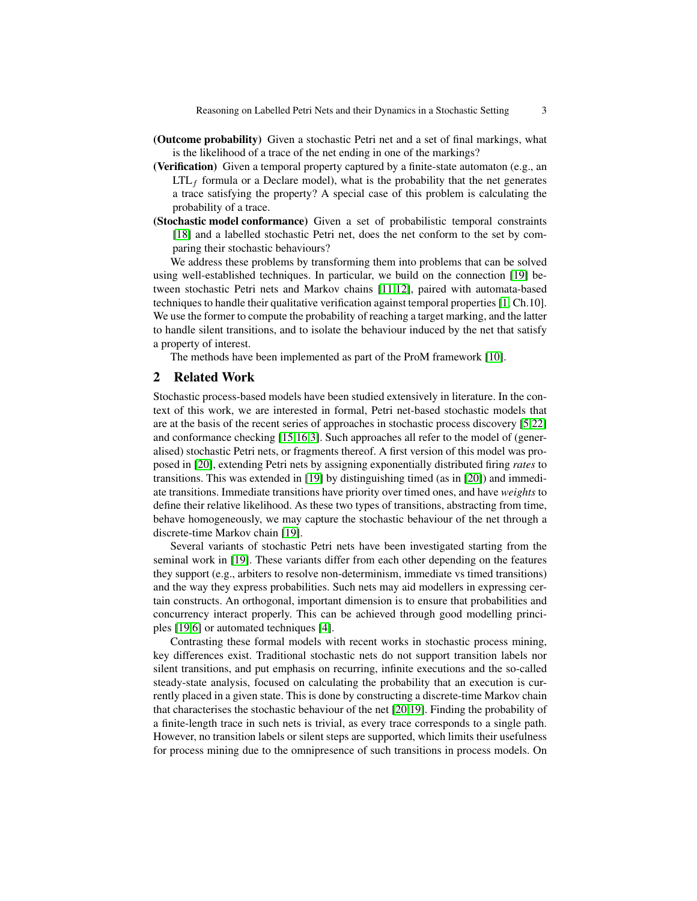- (Outcome probability) Given a stochastic Petri net and a set of final markings, what is the likelihood of a trace of the net ending in one of the markings?
- (Verification) Given a temporal property captured by a finite-state automaton (e.g., an  $LTL_f$  formula or a Declare model), what is the probability that the net generates a trace satisfying the property? A special case of this problem is calculating the probability of a trace.
- (Stochastic model conformance) Given a set of probabilistic temporal constraints [\[18\]](#page-16-10) and a labelled stochastic Petri net, does the net conform to the set by comparing their stochastic behaviours?

We address these problems by transforming them into problems that can be solved using well-established techniques. In particular, we build on the connection [\[19\]](#page-16-4) between stochastic Petri nets and Markov chains [\[11,](#page-16-11)[12\]](#page-16-12), paired with automata-based techniques to handle their qualitative verification against temporal properties [\[1,](#page-16-13) Ch.10]. We use the former to compute the probability of reaching a target marking, and the latter to handle silent transitions, and to isolate the behaviour induced by the net that satisfy a property of interest.

The methods have been implemented as part of the ProM framework [\[10\]](#page-16-14).

## <span id="page-2-0"></span>2 Related Work

Stochastic process-based models have been studied extensively in literature. In the context of this work, we are interested in formal, Petri net-based stochastic models that are at the basis of the recent series of approaches in stochastic process discovery [\[5](#page-16-3)[,22\]](#page-16-2) and conformance checking [\[15,](#page-16-6)[16,](#page-16-7)[3\]](#page-16-15). Such approaches all refer to the model of (generalised) stochastic Petri nets, or fragments thereof. A first version of this model was proposed in [\[20\]](#page-16-9), extending Petri nets by assigning exponentially distributed firing *rates* to transitions. This was extended in [\[19\]](#page-16-4) by distinguishing timed (as in [\[20\]](#page-16-9)) and immediate transitions. Immediate transitions have priority over timed ones, and have *weights* to define their relative likelihood. As these two types of transitions, abstracting from time, behave homogeneously, we may capture the stochastic behaviour of the net through a discrete-time Markov chain [\[19\]](#page-16-4).

Several variants of stochastic Petri nets have been investigated starting from the seminal work in [\[19\]](#page-16-4). These variants differ from each other depending on the features they support (e.g., arbiters to resolve non-determinism, immediate vs timed transitions) and the way they express probabilities. Such nets may aid modellers in expressing certain constructs. An orthogonal, important dimension is to ensure that probabilities and concurrency interact properly. This can be achieved through good modelling principles [\[19,](#page-16-4)[6\]](#page-16-1) or automated techniques [\[4\]](#page-16-16).

Contrasting these formal models with recent works in stochastic process mining, key differences exist. Traditional stochastic nets do not support transition labels nor silent transitions, and put emphasis on recurring, infinite executions and the so-called steady-state analysis, focused on calculating the probability that an execution is currently placed in a given state. This is done by constructing a discrete-time Markov chain that characterises the stochastic behaviour of the net [\[20](#page-16-9)[,19\]](#page-16-4). Finding the probability of a finite-length trace in such nets is trivial, as every trace corresponds to a single path. However, no transition labels or silent steps are supported, which limits their usefulness for process mining due to the omnipresence of such transitions in process models. On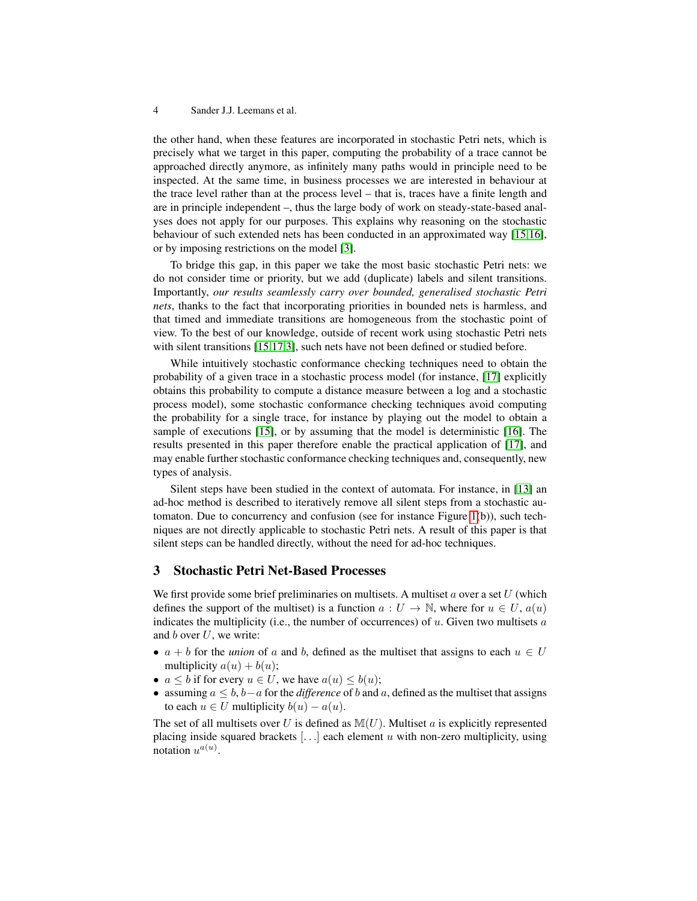the other hand, when these features are incorporated in stochastic Petri nets, which is precisely what we target in this paper, computing the probability of a trace cannot be approached directly anymore, as infinitely many paths would in principle need to be inspected. At the same time, in business processes we are interested in behaviour at the trace level rather than at the process level – that is, traces have a finite length and are in principle independent –, thus the large body of work on steady-state-based analyses does not apply for our purposes. This explains why reasoning on the stochastic behaviour of such extended nets has been conducted in an approximated way [\[15](#page-16-6)[,16\]](#page-16-7), or by imposing restrictions on the model [\[3\]](#page-16-15).

To bridge this gap, in this paper we take the most basic stochastic Petri nets: we do not consider time or priority, but we add (duplicate) labels and silent transitions. Importantly, *our results seamlessly carry over bounded, generalised stochastic Petri nets*, thanks to the fact that incorporating priorities in bounded nets is harmless, and that timed and immediate transitions are homogeneous from the stochastic point of view. To the best of our knowledge, outside of recent work using stochastic Petri nets with silent transitions [\[15](#page-16-6)[,17](#page-16-0)[,3\]](#page-16-15), such nets have not been defined or studied before.

While intuitively stochastic conformance checking techniques need to obtain the probability of a given trace in a stochastic process model (for instance, [\[17\]](#page-16-0) explicitly obtains this probability to compute a distance measure between a log and a stochastic process model), some stochastic conformance checking techniques avoid computing the probability for a single trace, for instance by playing out the model to obtain a sample of executions [\[15\]](#page-16-6), or by assuming that the model is deterministic [\[16\]](#page-16-7). The results presented in this paper therefore enable the practical application of [\[17\]](#page-16-0), and may enable further stochastic conformance checking techniques and, consequently, new types of analysis.

Silent steps have been studied in the context of automata. For instance, in [\[13\]](#page-16-17) an ad-hoc method is described to iteratively remove all silent steps from a stochastic automaton. Due to concurrency and confusion (see for instance Figure [1\(](#page-1-0)b)), such techniques are not directly applicable to stochastic Petri nets. A result of this paper is that silent steps can be handled directly, without the need for ad-hoc techniques.

## <span id="page-3-0"></span>3 Stochastic Petri Net-Based Processes

We first provide some brief preliminaries on multisets. A multiset a over a set  $U$  (which defines the support of the multiset) is a function  $a: U \to \mathbb{N}$ , where for  $u \in U$ ,  $a(u)$ indicates the multiplicity (i.e., the number of occurrences) of  $u$ . Given two multisets  $a$ and  $b$  over  $U$ , we write:

- $a + b$  for the *union* of a and b, defined as the multiset that assigns to each  $u \in U$ multiplicity  $a(u) + b(u)$ ;
- $a \leq b$  if for every  $u \in U$ , we have  $a(u) \leq b(u)$ ;
- assuming  $a \leq b$ ,  $b-a$  for the *difference* of b and a, defined as the multiset that assigns to each  $u \in U$  multiplicity  $b(u) - a(u)$ .

The set of all multisets over U is defined as  $\mathbb{M}(U)$ . Multiset a is explicitly represented placing inside squared brackets  $[...]$  each element u with non-zero multiplicity, using notation  $u^{a(u)}$ .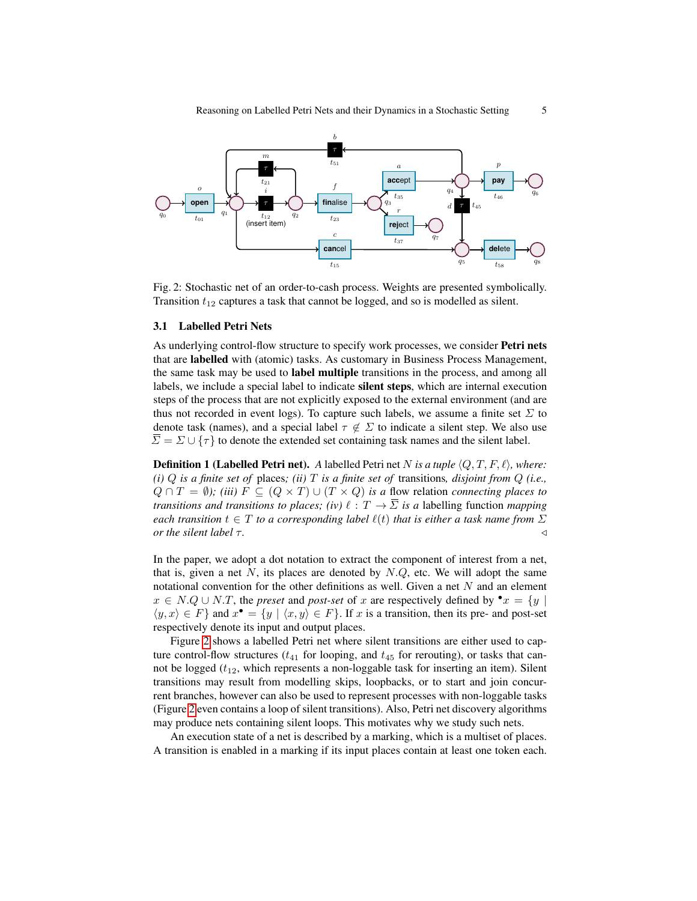<span id="page-4-0"></span>

Fig. 2: Stochastic net of an order-to-cash process. Weights are presented symbolically. Transition  $t_{12}$  captures a task that cannot be logged, and so is modelled as silent.

## 3.1 Labelled Petri Nets

As underlying control-flow structure to specify work processes, we consider **Petri nets** that are labelled with (atomic) tasks. As customary in Business Process Management, the same task may be used to label multiple transitions in the process, and among all labels, we include a special label to indicate silent steps, which are internal execution steps of the process that are not explicitly exposed to the external environment (and are thus not recorded in event logs). To capture such labels, we assume a finite set  $\Sigma$  to denote task (names), and a special label  $\tau \notin \Sigma$  to indicate a silent step. We also use  $\Sigma = \Sigma \cup {\tau}$  to denote the extended set containing task names and the silent label.

**Definition 1 (Labelled Petri net).** *A* labelled Petri net N is a tuple  $\langle Q, T, F, \ell \rangle$ *, where: (i)* Q *is a finite set of* places*; (ii)* T *is a finite set of* transitions*, disjoint from* Q *(i.e.,*  $Q \cap T = \emptyset$ ; (iii)  $F \subseteq (Q \times T) \cup (T \times Q)$  *is a* flow relation *connecting places to transitions and transitions to places; (iv)*  $\ell : T \to \overline{\Sigma}$  *is a labelling function mapping each transition*  $t \in T$  *to a corresponding label*  $\ell(t)$  *that is either a task name from*  $\Sigma$ *or the silent label*  $\tau$ .  $\triangleleft$ 

In the paper, we adopt a dot notation to extract the component of interest from a net, that is, given a net N, its places are denoted by  $N.Q$ , etc. We will adopt the same notational convention for the other definitions as well. Given a net  $N$  and an element  $x \in N.Q \cup N.T$ , the *preset* and *post-set* of x are respectively defined by  $\bullet x = \{y \mid$  $\langle y, x \rangle \in F$ } and  $x^{\bullet} = \{y \mid \langle x, y \rangle \in F\}$ . If x is a transition, then its pre- and post-set respectively denote its input and output places.

Figure [2](#page-4-0) shows a labelled Petri net where silent transitions are either used to capture control-flow structures ( $t_{41}$  for looping, and  $t_{45}$  for rerouting), or tasks that cannot be logged  $(t_{12}$ , which represents a non-loggable task for inserting an item). Silent transitions may result from modelling skips, loopbacks, or to start and join concurrent branches, however can also be used to represent processes with non-loggable tasks (Figure [2](#page-4-0) even contains a loop of silent transitions). Also, Petri net discovery algorithms may produce nets containing silent loops. This motivates why we study such nets.

An execution state of a net is described by a marking, which is a multiset of places. A transition is enabled in a marking if its input places contain at least one token each.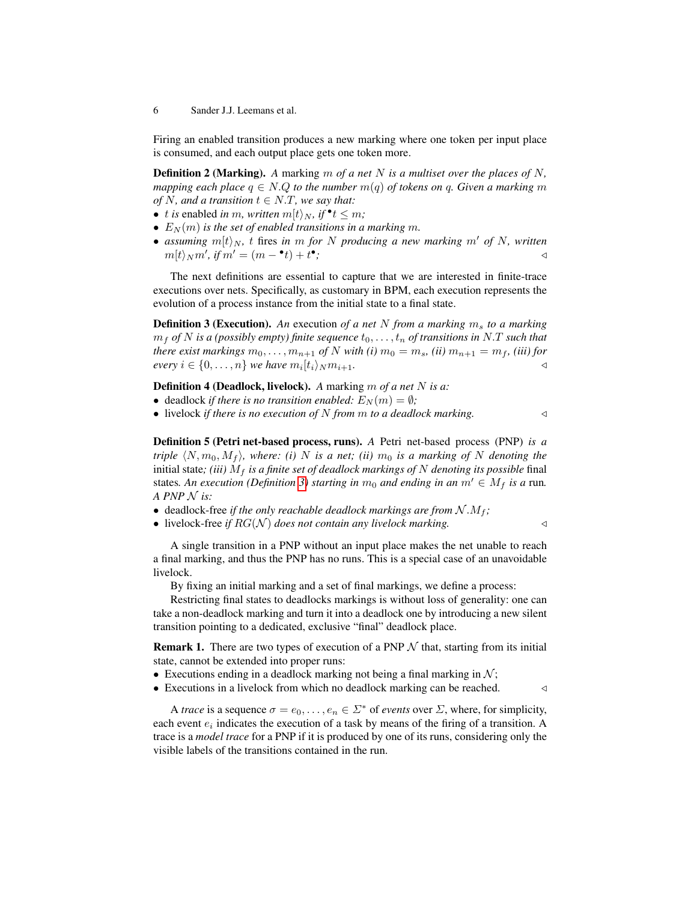Firing an enabled transition produces a new marking where one token per input place is consumed, and each output place gets one token more.

Definition 2 (Marking). *A* marking m *of a net* N *is a multiset over the places of* N*, mapping each place*  $q \in N.Q$  *to the number*  $m(q)$  *of tokens on* q. Given a marking m *of* N, and a transition  $t \in N.T$ , we say that:

- *t is* enabled *in m*, written  $m[t\rangle_N$ , if  $\cdot$  t  $\leq m$ ;
- $E<sub>N</sub>(m)$  *is the set of enabled transitions in a marking m.*
- *assuming*  $m[t\rangle_N$ , t fires in m for N producing a new marking m' of N, written  $m[t\rangle_N m', \text{ if } m' = (m - \cdot t) + t^{\bullet}$ *;* ◁

The next definitions are essential to capture that we are interested in finite-trace executions over nets. Specifically, as customary in BPM, each execution represents the evolution of a process instance from the initial state to a final state.

<span id="page-5-0"></span>**Definition 3 (Execution).** An execution of a net N from a marking  $m_s$  to a marking  $m_f$  *of* N is a (possibly empty) finite sequence  $t_0, \ldots, t_n$  *of transitions in* N.T such that *there exist markings*  $m_0, \ldots, m_{n+1}$  *of* N *with* (*i*)  $m_0 = m_s$ , (*ii*)  $m_{n+1} = m_f$ , (*iii*) *for every*  $i \in \{0, \ldots, n\}$  *we have*  $m_i[t_i\rangle_N m_{i+1}$ .

Definition 4 (Deadlock, livelock). *A* marking m *of a net* N *is a:*

- deadlock *if there is no transition enabled:*  $E_N(m) = \emptyset$ ;
- livelock *if there is no execution of* N *from* m *to a deadlock marking.* ◁

Definition 5 (Petri net-based process, runs). *A* Petri net-based process (PNP) *is a triple*  $\langle N, m_0, M_f \rangle$ *, where: (i)* N *is a net; (ii)*  $m_0$  *is a marking of* N *denoting the* initial state; (iii)  $M_f$  is a finite set of deadlock markings of  $N$  denoting its possible final states. An execution (Definition [3\)](#page-5-0) starting in  $m_0$  and ending in an  $m' \in M_f$  is a run. *A PNP* N *is:*

- deadlock-free *if the only reachable deadlock markings are from*  $N.M_f$ ;
- livelock-free *if*  $RG(N)$  *does not contain any livelock marking.*  $\triangleleft$

A single transition in a PNP without an input place makes the net unable to reach a final marking, and thus the PNP has no runs. This is a special case of an unavoidable livelock.

By fixing an initial marking and a set of final markings, we define a process:

Restricting final states to deadlocks markings is without loss of generality: one can take a non-deadlock marking and turn it into a deadlock one by introducing a new silent transition pointing to a dedicated, exclusive "final" deadlock place.

**Remark 1.** There are two types of execution of a PNP  $N$  that, starting from its initial state, cannot be extended into proper runs:

- Executions ending in a deadlock marking not being a final marking in  $\mathcal{N}$ ;
- Executions in a livelock from which no deadlock marking can be reached.  $\triangleleft$

<span id="page-5-1"></span>A *trace* is a sequence  $\sigma = e_0, \ldots, e_n \in \Sigma^*$  of *events* over  $\Sigma$ , where, for simplicity, each event  $e_i$  indicates the execution of a task by means of the firing of a transition. A trace is a *model trace* for a PNP if it is produced by one of its runs, considering only the visible labels of the transitions contained in the run.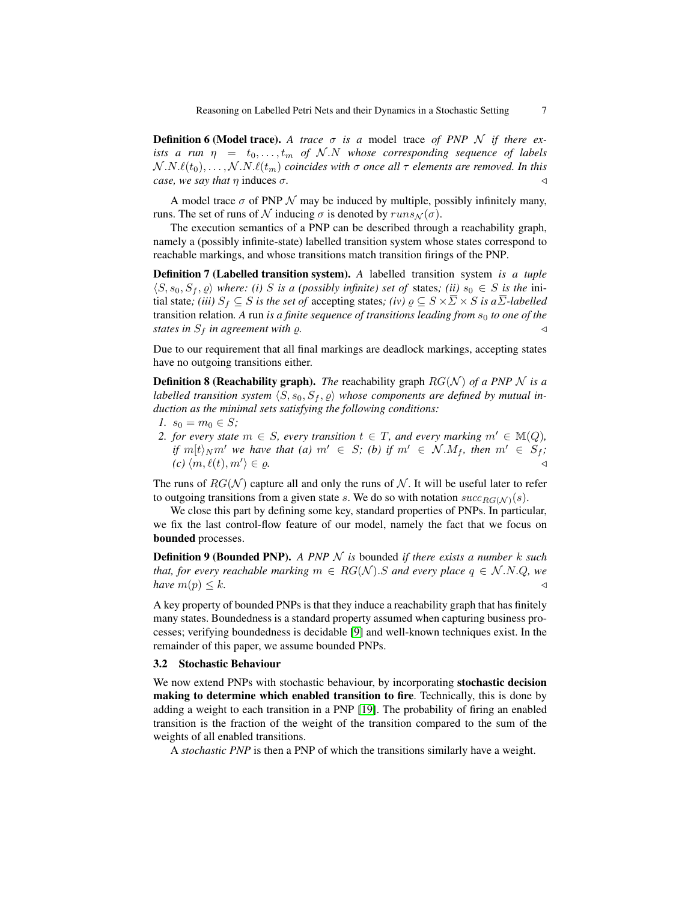**Definition 6 (Model trace).** A trace  $\sigma$  is a model trace of PNP N if there ex*ists a run*  $\eta = t_0, \ldots, t_m$  of  $N.N$  whose corresponding sequence of labels  $N.N.\ell(t_0), \ldots, N.N.\ell(t_m)$  *coincides with*  $\sigma$  *once all*  $\tau$  *elements are removed. In this case, we say that*  $\eta$  induces  $\sigma$ .

A model trace  $\sigma$  of PNP  $\mathcal N$  may be induced by multiple, possibly infinitely many, runs. The set of runs of N inducing  $\sigma$  is denoted by  $runs_\mathcal{N}(\sigma)$ .

The execution semantics of a PNP can be described through a reachability graph, namely a (possibly infinite-state) labelled transition system whose states correspond to reachable markings, and whose transitions match transition firings of the PNP.

Definition 7 (Labelled transition system). *A* labelled transition system *is a tuple*  $\langle S, s_0, S_f, \varrho \rangle$  *where: (i)* S is a (possibly infinite) set of states; (ii)  $s_0 \in S$  is the initial state; *(iii)*  $S_f \subseteq S$  *is the set of* accepting states; *(iv)*  $\varrho \subseteq S \times \overline{\Sigma} \times S$  *is a* $\overline{\Sigma}$ *-labelled* transition relation. A run *is a finite sequence of transitions leading from*  $s_0$  *to one of the states in*  $S_f$  *in agreement with*  $\rho$ *.* 

Due to our requirement that all final markings are deadlock markings, accepting states have no outgoing transitions either.

<span id="page-6-0"></span>**Definition 8 (Reachability graph).** *The* reachability graph  $RG(\mathcal{N})$  *of a PNP*  $\mathcal{N}$  *is a labelled transition system*  $\langle S, s_0, S_f, \varrho \rangle$  whose components are defined by mutual in*duction as the minimal sets satisfying the following conditions:*

- *1.*  $s_0 = m_0 \in S$ ;
- *2. for every state*  $m \in S$ *, every transition*  $t \in T$ *, and every marking*  $m' \in M(Q)$ *, if*  $m[t]_N m'$  *we have that (a)*  $m' \in S$ *; (b) if*  $m' \in \mathcal{N} M_f$ , then  $m' \in S_f$ *;*  $(c)$   $\langle m, \ell(t), m' \rangle \in \rho$ .  $\rangle \in \varrho$ .

The runs of  $RG(\mathcal{N})$  capture all and only the runs of  $\mathcal{N}$ . It will be useful later to refer to outgoing transitions from a given state s. We do so with notation  $succ_{RG(N)}(s)$ .

We close this part by defining some key, standard properties of PNPs. In particular, we fix the last control-flow feature of our model, namely the fact that we focus on bounded processes.

Definition 9 (Bounded PNP). *A PNP* N *is* bounded *if there exists a number* k *such that, for every reachable marking*  $m \in RG(N)$ . S and every place  $q \in N.N.Q$ , we *have*  $m(p) \leq k$ .

A key property of bounded PNPs is that they induce a reachability graph that has finitely many states. Boundedness is a standard property assumed when capturing business processes; verifying boundedness is decidable [\[9\]](#page-16-18) and well-known techniques exist. In the remainder of this paper, we assume bounded PNPs.

## 3.2 Stochastic Behaviour

We now extend PNPs with stochastic behaviour, by incorporating stochastic decision making to determine which enabled transition to fire. Technically, this is done by adding a weight to each transition in a PNP [\[19\]](#page-16-4). The probability of firing an enabled transition is the fraction of the weight of the transition compared to the sum of the weights of all enabled transitions.

<span id="page-6-1"></span>A *stochastic PNP* is then a PNP of which the transitions similarly have a weight.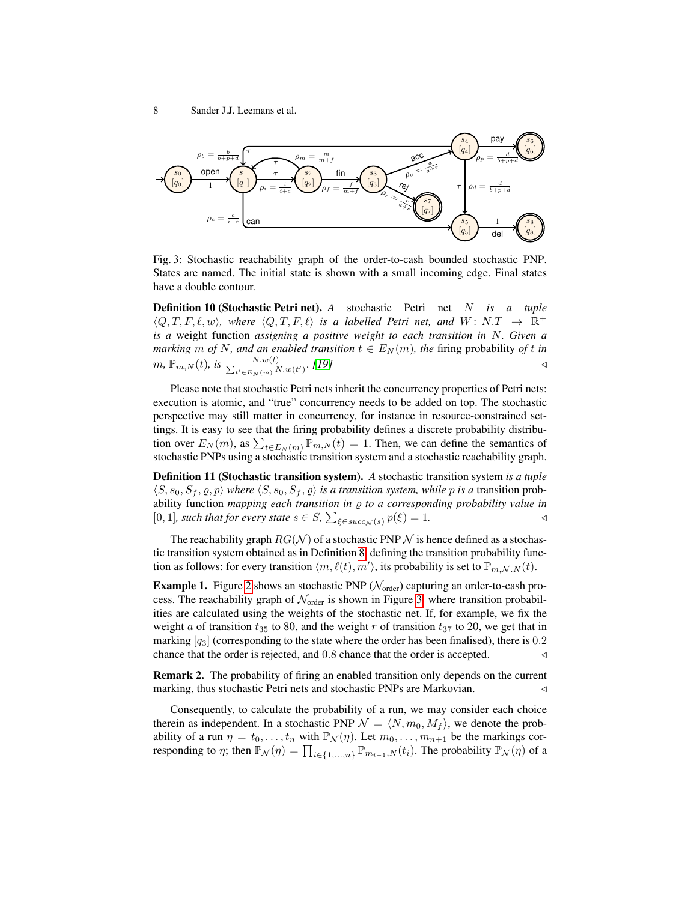<span id="page-7-0"></span>

Fig. 3: Stochastic reachability graph of the order-to-cash bounded stochastic PNP. States are named. The initial state is shown with a small incoming edge. Final states have a double contour.

Definition 10 (Stochastic Petri net). *A* stochastic Petri net N *is a tuple*  $\langle Q, T, F, \ell, w \rangle$ , where  $\langle Q, T, F, \ell \rangle$  is a labelled Petri net, and  $W: N.T \rightarrow \mathbb{R}^+$ *is a* weight function *assigning a positive weight to each transition in* N*. Given a marking*  $m$  *of*  $N$ *, and an enabled transition*  $t \in E_N(m)$ *, the firing probability of t in*  $m, \mathbb{P}_{m,N}(t)$ *, is*  $\frac{N.w(t)}{\sum_{t' \in E_m(m)} N}$  $\frac{N.w(t)}{t' \in E_N(m)} \cdot [19]$  $\frac{N.w(t)}{t' \in E_N(m)} \cdot [19]$ 

Please note that stochastic Petri nets inherit the concurrency properties of Petri nets: execution is atomic, and "true" concurrency needs to be added on top. The stochastic perspective may still matter in concurrency, for instance in resource-constrained settings. It is easy to see that the firing probability defines a discrete probability distribution over  $E_N(m)$ , as  $\sum_{t \in E_N(m)} \overline{P}_{m,N}(t) = 1$ . Then, we can define the semantics of stochastic PNPs using a stochastic transition system and a stochastic reachability graph.

Definition 11 (Stochastic transition system). *A* stochastic transition system *is a tuple*  $\langle S, s_0, S_f, \varrho, p \rangle$  *where*  $\langle S, s_0, S_f, \varrho \rangle$  *is a transition system, while p is a transition prob*ability function *mapping each transition in* ϱ *to a corresponding probability value in* [0, 1]*, such that for every state*  $s \in S$ *,*  $\sum_{\xi \in succ_{\mathcal{N}}(s)} p(\xi) = 1$ .

The reachability graph  $RG(\mathcal{N})$  of a stochastic PNP  $\mathcal N$  is hence defined as a stochastic transition system obtained as in Definition [8,](#page-6-0) defining the transition probability function as follows: for every transition  $\langle m, \ell(t), m' \rangle$ , its probability is set to  $\mathbb{P}_{m,N,N}(t)$ .

**Example 1.** Figure [2](#page-4-0) shows an stochastic PNP ( $\mathcal{N}_{order}$ ) capturing an order-to-cash process. The reachability graph of  $\mathcal{N}_{order}$  is shown in Figure [3,](#page-7-0) where transition probabilities are calculated using the weights of the stochastic net. If, for example, we fix the weight a of transition  $t_{35}$  to 80, and the weight r of transition  $t_{37}$  to 20, we get that in marking  $[q_3]$  (corresponding to the state where the order has been finalised), there is 0.2 chance that the order is rejected, and  $0.8$  chance that the order is accepted.  $\triangleleft$ 

Remark 2. The probability of firing an enabled transition only depends on the current marking, thus stochastic Petri nets and stochastic PNPs are Markovian. △ △

Consequently, to calculate the probability of a run, we may consider each choice therein as independent. In a stochastic PNP  $\mathcal{N} = \langle N, m_0, M_f \rangle$ , we denote the probability of a run  $\eta = t_0, \ldots, t_n$  with  $\mathbb{P}_\mathcal{N}(\eta)$ . Let  $m_0, \ldots, m_{n+1}$  be the markings corresponding to  $\eta$ ; then  $\mathbb{P}_N(\eta) = \prod_{i \in \{1,...,n\}} \mathbb{P}_{m_{i-1},N}(t_i)$ . The probability  $\mathbb{P}_N(\eta)$  of a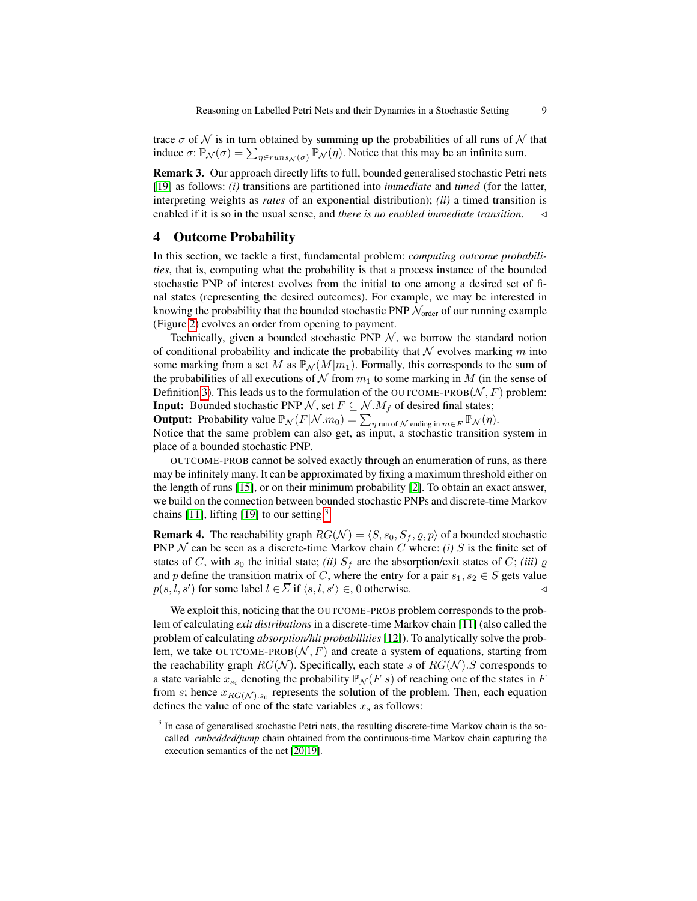trace  $\sigma$  of  $\mathcal N$  is in turn obtained by summing up the probabilities of all runs of  $\mathcal N$  that induce  $\sigma$ :  $\mathbb{P}_N(\sigma) = \sum_{\eta \in runs_N(\sigma)} \mathbb{P}_N(\eta)$ . Notice that this may be an infinite sum.

Remark 3. Our approach directly lifts to full, bounded generalised stochastic Petri nets [\[19\]](#page-16-4) as follows: *(i)* transitions are partitioned into *immediate* and *timed* (for the latter, interpreting weights as *rates* of an exponential distribution); *(ii)* a timed transition is enabled if it is so in the usual sense, and *there is no enabled immediate transition*. ◁

## 4 Outcome Probability

In this section, we tackle a first, fundamental problem: *computing outcome probabilities*, that is, computing what the probability is that a process instance of the bounded stochastic PNP of interest evolves from the initial to one among a desired set of final states (representing the desired outcomes). For example, we may be interested in knowing the probability that the bounded stochastic PNP  $\mathcal{N}_{order}$  of our running example (Figure [2\)](#page-4-0) evolves an order from opening to payment.

Technically, given a bounded stochastic PNP  $N$ , we borrow the standard notion of conditional probability and indicate the probability that  $N$  evolves marking m into some marking from a set M as  $\mathbb{P}_{\mathcal{N}}(M|m_1)$ . Formally, this corresponds to the sum of the probabilities of all executions of N from  $m_1$  to some marking in M (in the sense of Definition [3\)](#page-5-0). This leads us to the formulation of the OUTCOME-PROB( $N$ , F) problem: **Input:** Bounded stochastic PNP N, set  $F \subseteq N \cdot M_f$  of desired final states;

**Output:** Probability value  $\mathbb{P}_N(F|N \cdot m_0) = \sum_{\eta \text{ run of } N \text{ ending in } m \in F} \mathbb{P}_N(\eta)$ . Notice that the same problem can also get, as input, a stochastic transition system in place of a bounded stochastic PNP.

OUTCOME-PROB cannot be solved exactly through an enumeration of runs, as there may be infinitely many. It can be approximated by fixing a maximum threshold either on the length of runs [\[15\]](#page-16-6), or on their minimum probability [\[2\]](#page-16-8). To obtain an exact answer, we build on the connection between bounded stochastic PNPs and discrete-time Markov chains [\[11\]](#page-16-11), lifting [\[19\]](#page-16-4) to our setting.<sup>[3](#page-8-0)</sup>

<span id="page-8-1"></span>**Remark 4.** The reachability graph  $RG(\mathcal{N}) = \langle S, s_0, S_f, \varrho, p \rangle$  of a bounded stochastic PNP  $N$  can be seen as a discrete-time Markov chain  $C$  where: *(i)*  $S$  is the finite set of states of C, with  $s_0$  the initial state; *(ii)*  $S_f$  are the absorption/exit states of C; *(iii)*  $\varrho$ and p define the transition matrix of C, where the entry for a pair  $s_1, s_2 \in S$  gets value  $p(s, l, s')$  for some label  $l \in \overline{\Sigma}$  if  $\langle s, l, s' \rangle \in 0$  otherwise.

We exploit this, noticing that the OUTCOME-PROB problem corresponds to the problem of calculating *exit distributions* in a discrete-time Markov chain [\[11\]](#page-16-11) (also called the problem of calculating *absorption/hit probabilities* [\[12\]](#page-16-12)). To analytically solve the problem, we take OUTCOME-PROB $(N, F)$  and create a system of equations, starting from the reachability graph  $RG(\mathcal{N})$ . Specifically, each state s of  $RG(\mathcal{N})$ . S corresponds to a state variable  $x_{s_i}$  denoting the probability  $\mathbb{P}_N(F|s)$  of reaching one of the states in F from s; hence  $x_{RG(N), s_0}$  represents the solution of the problem. Then, each equation defines the value of one of the state variables  $x_s$  as follows:

<span id="page-8-0"></span><sup>&</sup>lt;sup>3</sup> In case of generalised stochastic Petri nets, the resulting discrete-time Markov chain is the socalled *embedded/jump* chain obtained from the continuous-time Markov chain capturing the execution semantics of the net [\[20](#page-16-9)[,19\]](#page-16-4).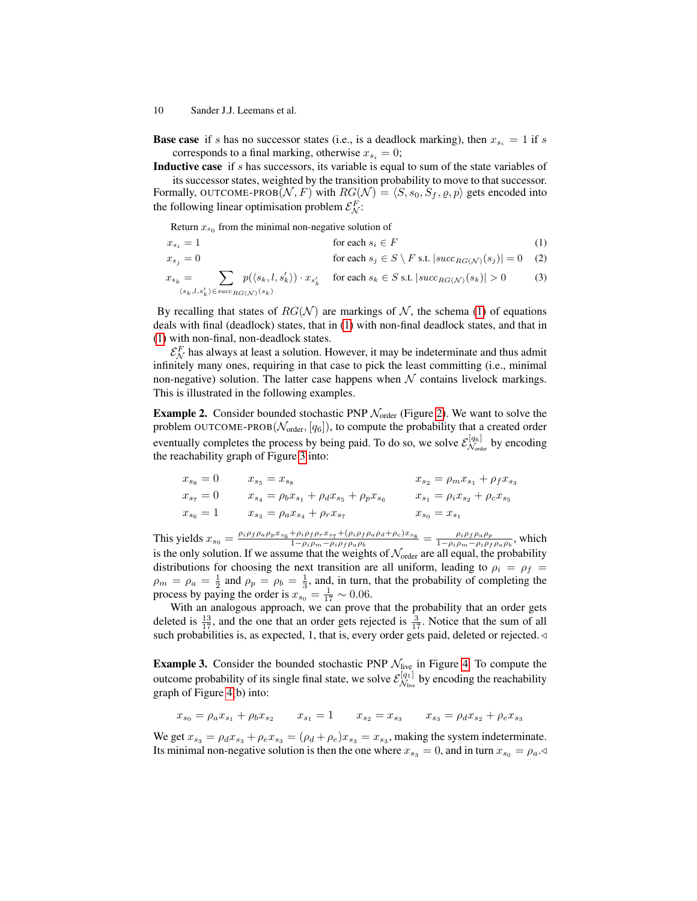**Base case** if s has no successor states (i.e., is a deadlock marking), then  $x_{s_i} = 1$  if s corresponds to a final marking, otherwise  $x_{s_i} = 0$ ;

Inductive case if s has successors, its variable is equal to sum of the state variables of

its successor states, weighted by the transition probability to move to that successor. Formally, OUTCOME-PROB $(N, F)$  with  $RG(N) = \langle S, s_0, S_f, \varrho, p \rangle$  gets encoded into the following linear optimisation problem  $\mathcal{E}_{\mathcal{N}}^F$ :

<span id="page-9-0"></span>Return  $x_{s_0}$  from the minimal non-negative solution of

- $x_{s_i} = 1$  for each  $s_i \in F$  (1)
- $x_{s_j} = 0$  for each  $s_j \in S \setminus F$  s.t.  $|succ_{RG(\mathcal{N})}(s_j)| = 0$  (2)

$$
x_{s_k} = \sum_{\langle s_k, l, s'_k \rangle \in succ_{RG(\mathcal{N})}(s_k)} p(\langle s_k, l, s'_k \rangle) \cdot x_{s'_k} \quad \text{ for each } s_k \in S \text{ s.t. } |succ_{RG(\mathcal{N})}(s_k)| > 0 \tag{3}
$$

By recalling that states of  $RG(\mathcal{N})$  are markings of  $\mathcal{N}$ , the schema [\(1\)](#page-9-0) of equations deals with final (deadlock) states, that in [\(1\)](#page-9-0) with non-final deadlock states, and that in [\(1\)](#page-9-0) with non-final, non-deadlock states.

 $\mathcal{E}_{\mathcal{N}}^F$  has always at least a solution. However, it may be indeterminate and thus admit infinitely many ones, requiring in that case to pick the least committing (i.e., minimal non-negative) solution. The latter case happens when  $N$  contains livelock markings. This is illustrated in the following examples.

<span id="page-9-2"></span>**Example 2.** Consider bounded stochastic PNP  $\mathcal{N}_{order}$  (Figure [2\)](#page-4-0). We want to solve the problem OUTCOME-PROB( $\mathcal{N}_{\text{order}}$ , [ $q_6$ ]), to compute the probability that a created order eventually completes the process by being paid. To do so, we solve  $\mathcal{E}_{\mathcal{N}_{\text{ext}}}^{[q_6]}$  $\mathcal{N}_{\text{order}}^{[q6]}$  by encoding the reachability graph of Figure [3](#page-7-0) into:

$$
x_{s_8} = 0 \t x_{s_5} = x_{s_8} \t x_{s_2} = \rho_m x_{s_1} + \rho_f x_{s_3}
$$
  
\n
$$
x_{s_7} = 0 \t x_{s_4} = \rho_b x_{s_1} + \rho_d x_{s_5} + \rho_p x_{s_6} \t x_{s_1} = \rho_i x_{s_2} + \rho_c x_{s_5}
$$
  
\n
$$
x_{s_6} = 1 \t x_{s_3} = \rho_a x_{s_4} + \rho_r x_{s_7} \t x_{s_0} = x_{s_1}
$$

This yields  $x_{s_0} = \frac{\rho_i \rho_f \rho_a \rho_p x_{s_6} + \rho_i \rho_f \rho_r x_{s_7} + (\rho_i \rho_f \rho_a \rho_d + \rho_c) x_{s_8}}{1 - \rho_i \rho_m - \rho_i \rho_f \rho_a \rho_b} = \frac{\rho_i \rho_f \rho_a \rho_p}{1 - \rho_i \rho_m - \rho_i \rho_f}$  $\frac{\rho_i \rho_f \rho_a \rho_p}{1-\rho_i \rho_m-\rho_i \rho_f \rho_a \rho_b}$ , which is the only solution. If we assume that the weights of  $\mathcal{N}_\text{order}$  are all equal, the probability distributions for choosing the next transition are all uniform, leading to  $\rho_i = \rho_f$  $\rho_m = \rho_a = \frac{1}{2}$  and  $\rho_p = \rho_b = \frac{1}{3}$ , and, in turn, that the probability of completing the process by paying the order is  $x_{s_0} = \frac{1}{17} \sim 0.06$ .

With an analogous approach, we can prove that the probability that an order gets deleted is  $\frac{13}{17}$ , and the one that an order gets rejected is  $\frac{3}{17}$ . Notice that the sum of all such probabilities is, as expected, 1, that is, every order gets paid, deleted or rejected.  $\triangleleft$ 

<span id="page-9-1"></span>**Example 3.** Consider the bounded stochastic PNP  $\mathcal{N}_{\text{live}}$  in Figure [4.](#page-10-0) To compute the outcome probability of its single final state, we solve  $\mathcal{E}_{\mathcal{N}_{\text{inv}}}^{[q_1]}$  $\mathcal{N}_{\text{live}}^{[q_1]}$  by encoding the reachability graph of Figure [4\(](#page-10-0)b) into:

$$
x_{s_0} = \rho_a x_{s_1} + \rho_b x_{s_2} \qquad x_{s_1} = 1 \qquad x_{s_2} = x_{s_3} \qquad x_{s_3} = \rho_d x_{s_2} + \rho_e x_{s_3}
$$

We get  $x_{s_3} = \rho_d x_{s_3} + \rho_e x_{s_3} = (\rho_d + \rho_e) x_{s_3} = x_{s_3}$ , making the system indeterminate. Its minimal non-negative solution is then the one where  $x_{s_3} = 0$ , and in turn  $x_{s_0} = \rho_a \triangleleft$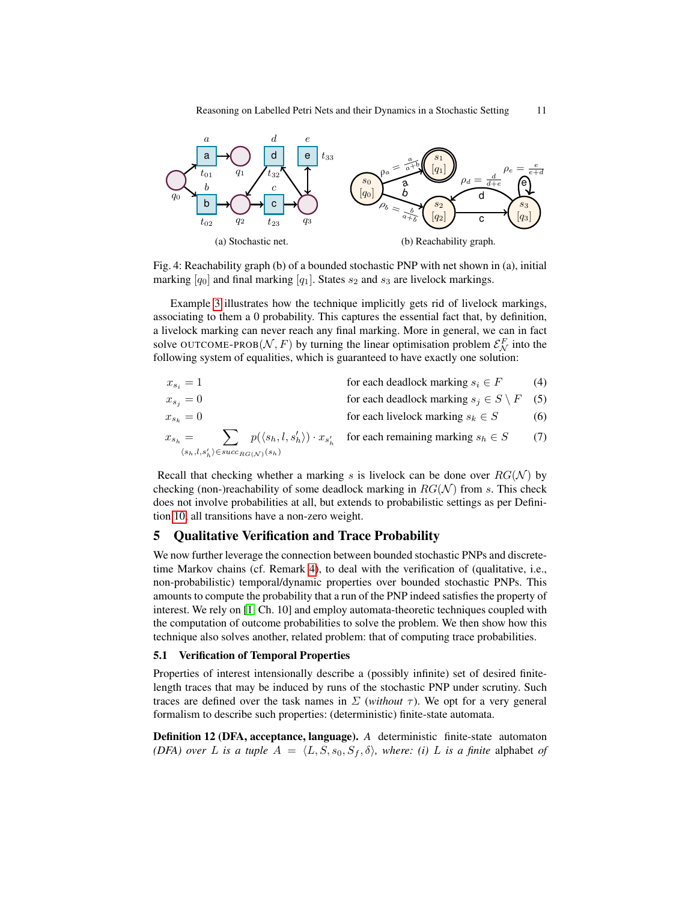<span id="page-10-0"></span>

Fig. 4: Reachability graph (b) of a bounded stochastic PNP with net shown in (a), initial marking  $[q_0]$  and final marking  $[q_1]$ . States  $s_2$  and  $s_3$  are livelock markings.

Example [3](#page-9-1) illustrates how the technique implicitly gets rid of livelock markings, associating to them a 0 probability. This captures the essential fact that, by definition, a livelock marking can never reach any final marking. More in general, we can in fact solve OUTCOME-PROB $(N, F)$  by turning the linear optimisation problem  $\mathcal{E}_N^F$  into the following system of equalities, which is guaranteed to have exactly one solution:

$$
x_{s_i} = 1
$$
 for each deadlock marking  $s_i \in F$  (4)  
\n
$$
x_{s_j} = 0
$$
 for each deadlock marking  $s_j \in S \setminus F$  (5)  
\n
$$
x_{s_k} = 0
$$
 for each livelock marking  $s_k \in S$  (6)  
\n
$$
x_{s_h} = \sum_{\langle s_h, l, s'_h \rangle \in succ_{RG(N)}(s_h)} p(\langle s_h, l, s'_h \rangle) \cdot x_{s'_h}
$$
 for each remaining marking  $s_h \in S$  (7)

Recall that checking whether a marking s is livelock can be done over  $RG(\mathcal{N})$  by checking (non-)reachability of some deadlock marking in  $RG(\mathcal{N})$  from s. This check does not involve probabilities at all, but extends to probabilistic settings as per Definition [10,](#page-6-1) all transitions have a non-zero weight.

## <span id="page-10-1"></span>5 Qualitative Verification and Trace Probability

We now further leverage the connection between bounded stochastic PNPs and discretetime Markov chains (cf. Remark [4\)](#page-8-1), to deal with the verification of (qualitative, i.e., non-probabilistic) temporal/dynamic properties over bounded stochastic PNPs. This amounts to compute the probability that a run of the PNP indeed satisfies the property of interest. We rely on [\[1,](#page-16-13) Ch. 10] and employ automata-theoretic techniques coupled with the computation of outcome probabilities to solve the problem. We then show how this technique also solves another, related problem: that of computing trace probabilities.

#### 5.1 Verification of Temporal Properties

Properties of interest intensionally describe a (possibly infinite) set of desired finitelength traces that may be induced by runs of the stochastic PNP under scrutiny. Such traces are defined over the task names in  $\Sigma$  (*without*  $\tau$ ). We opt for a very general formalism to describe such properties: (deterministic) finite-state automata.

Definition 12 (DFA, acceptance, language). *A* deterministic finite-state automaton *(DFA) over L is a tuple*  $A = \langle L, S, s_0, S_f, \delta \rangle$ *, where: (i) L is a finite* alphabet *of*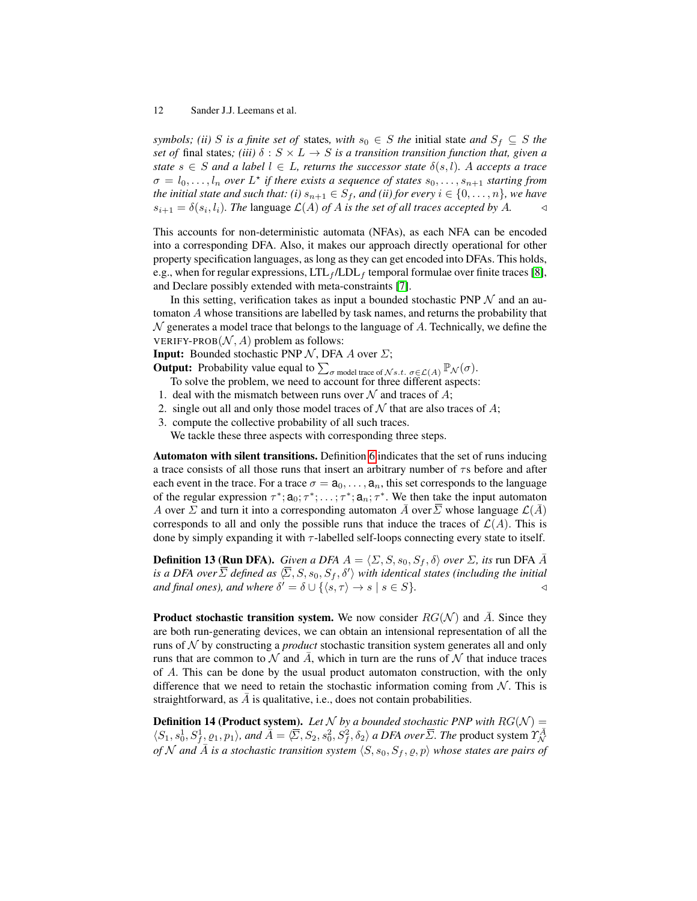*symbols; (ii)* S *is a finite set of states, with*  $s_0 \in S$  *the initial state and*  $S_f \subseteq S$  *the set of* final states; (iii)  $\delta$  :  $S \times L \rightarrow S$  *is a transition transition function that, given a state*  $s \in S$  *and* a label  $l \in L$ , returns the successor state  $\delta(s, l)$ . A accepts a trace  $\sigma = l_0, \ldots, l_n$  over  $L^*$  if there exists a sequence of states  $s_0, \ldots, s_{n+1}$  starting from *the initial state and such that: (i)*  $s_{n+1} \in S_f$ *, and (ii) for every*  $i \in \{0, \ldots, n\}$ *, we have*  $s_{i+1} = \delta(s_i, l_i)$ . The language  $\mathcal{L}(A)$  of A is the set of all traces accepted by A.  $\triangleleft$ 

This accounts for non-deterministic automata (NFAs), as each NFA can be encoded into a corresponding DFA. Also, it makes our approach directly operational for other property specification languages, as long as they can get encoded into DFAs. This holds, e.g., when for regular expressions,  $LTL_f / LDL_f$  temporal formulae over finite traces [\[8\]](#page-16-19), and Declare possibly extended with meta-constraints [\[7\]](#page-16-20).

In this setting, verification takes as input a bounded stochastic PNP  $\mathcal N$  and an automaton A whose transitions are labelled by task names, and returns the probability that  $\mathcal N$  generates a model trace that belongs to the language of A. Technically, we define the VERIFY-PROB $(N, A)$  problem as follows:

**Input:** Bounded stochastic PNP  $N$ , DFA A over  $\Sigma$ ;

**Output:** Probability value equal to  $\sum_{\sigma \text{ model trace of } N_{s.t.}} \sum_{\sigma \in \mathcal{L}(A)} \mathbb{P}_{\mathcal{N}}(\sigma)$ .

To solve the problem, we need to account for three different aspects:

- 1. deal with the mismatch between runs over  $N$  and traces of A;
- 2. single out all and only those model traces of  $N$  that are also traces of A;
- 3. compute the collective probability of all such traces.

We tackle these three aspects with corresponding three steps.

Automaton with silent transitions. Definition [6](#page-5-1) indicates that the set of runs inducing a trace consists of all those runs that insert an arbitrary number of  $\tau s$  before and after each event in the trace. For a trace  $\sigma = \mathbf{a}_0, \dots, \mathbf{a}_n$ , this set corresponds to the language of the regular expression  $\tau^*$ ;  $a_0$ ;  $\tau^*$ ; ...;  $\tau^*$ ;  $a_n$ ;  $\tau^*$ . We then take the input automaton A over  $\Sigma$  and turn it into a corresponding automaton  $\overline{A}$  over  $\overline{\Sigma}$  whose language  $\mathcal{L}(\overline{A})$ corresponds to all and only the possible runs that induce the traces of  $\mathcal{L}(A)$ . This is done by simply expanding it with  $\tau$ -labelled self-loops connecting every state to itself.

<span id="page-11-0"></span>**Definition 13 (Run DFA).** *Given a DFA*  $A = \langle \Sigma, S, s_0, S_f, \delta \rangle$  *over*  $\Sigma$ *, its* run DFA  $\overline{A}$ is a DFA over  $\overline{\Sigma}$  defined as  $\langle \overline{\Sigma}, S, s_0, S_f, \delta'\rangle$  with identical states (including the initial *and final ones), and where*  $\delta' = \delta \cup \{ \langle s, \tau \rangle \to s \mid s \in S \}.$ 

**Product stochastic transition system.** We now consider  $RG(\mathcal{N})$  and  $\overline{A}$ . Since they are both run-generating devices, we can obtain an intensional representation of all the runs of N by constructing a *product* stochastic transition system generates all and only runs that are common to  $\mathcal N$  and  $\overline{A}$ , which in turn are the runs of  $\mathcal N$  that induce traces of A. This can be done by the usual product automaton construction, with the only difference that we need to retain the stochastic information coming from  $N$ . This is straightforward, as  $\overline{A}$  is qualitative, i.e., does not contain probabilities.

<span id="page-11-1"></span>**Definition 14 (Product system).** Let N by a bounded stochastic PNP with  $RG(\mathcal{N}) =$  $\langle S_1, s_0^1, S_f^1, \varrho_1, p_1 \rangle$ , and  $\overline{A} = \langle \overline{\Sigma}, S_2, s_0^2, S_f^2, \delta_2 \rangle$  a DFA over  $\overline{\Sigma}$ . The product system  $\gamma_N^{\overline{A}}$ *of* N and  $\overline{A}$  *is a stochastic transition system*  $\langle S, s_0, S_f, \varrho, p \rangle$  *whose states are pairs of*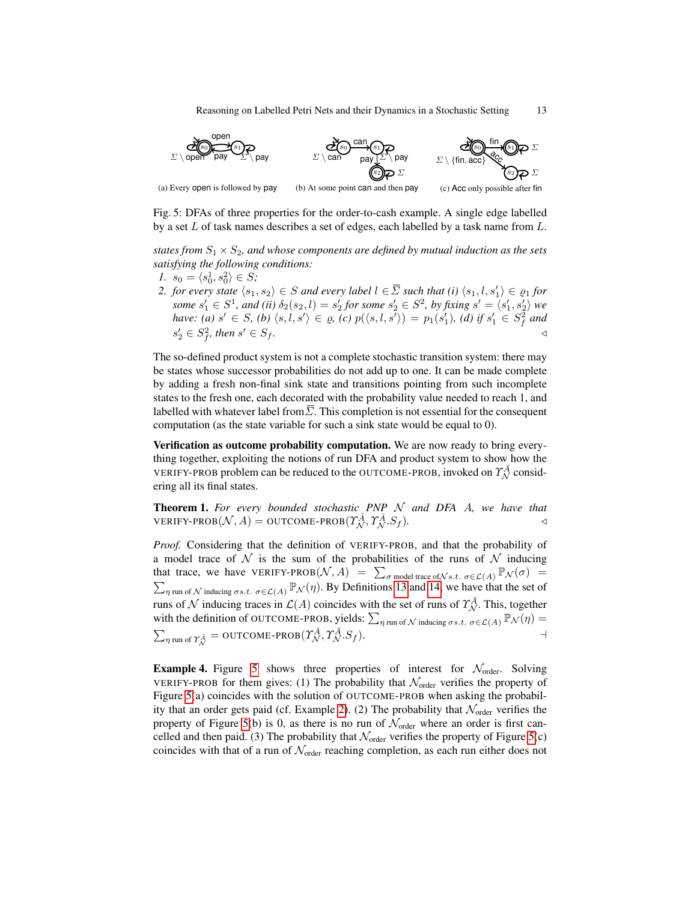<span id="page-12-0"></span>

Fig. 5: DFAs of three properties for the order-to-cash example. A single edge labelled by a set L of task names describes a set of edges, each labelled by a task name from L.

*states from*  $S_1 \times S_2$ *, and whose components are defined by mutual induction as the sets satisfying the following conditions:*

- *1.*  $s_0 = \langle s_0^1, s_0^2 \rangle \in S;$
- *2. for every state*  $\langle s_1, s_2 \rangle \in S$  *and every label*  $l \in \overline{\Sigma}$  *such that (i)*  $\langle s_1, l, s'_1 \rangle \in \varrho_1$  *for* some  $s'_1 \in S^1$ , and (ii)  $\delta_2(s_2, l) = s'_2$  for some  $s'_2 \in S^2$ , by fixing  $s' = \langle s'_1, s'_2 \rangle$  we *have:* (a)  $s' \in S$ , (b)  $\langle s, l, s' \rangle \in \varrho$ , (c)  $p(\langle s, l, s' \rangle) = p_1(s'_1)$ , (d) if  $s'_1 \in S_f^2$  and  $s_2' \in S_f^2$ , then s  $\forall$   $\in$   $S_f$ .

The so-defined product system is not a complete stochastic transition system: there may be states whose successor probabilities do not add up to one. It can be made complete by adding a fresh non-final sink state and transitions pointing from such incomplete states to the fresh one, each decorated with the probability value needed to reach 1, and labelled with whatever label from  $\overline{\Sigma}$ . This completion is not essential for the consequent computation (as the state variable for such a sink state would be equal to 0).

Verification as outcome probability computation. We are now ready to bring everything together, exploiting the notions of run DFA and product system to show how the VERIFY-PROB problem can be reduced to the OUTCOME-PROB, invoked on  $\gamma^{\bar{A}}_{\mathcal{N}}$  considering all its final states.

Theorem 1. *For every bounded stochastic PNP* N *and DFA* A*, we have that*  $\text{VERIFY-PROB}(\mathcal{N}, A) = \text{OUTCOME-PROB}(\Upsilon_{\mathcal{N}}^{\bar{A}}, \Upsilon_{\mathcal{N}}^{\bar{A}}. S_f).$ 

*Proof.* Considering that the definition of VERIFY-PROB, and that the probability of a model trace of  $N$  is the sum of the probabilities of the runs of  $N$  inducing that trace, we have VERIFY-PROB $(N, A)$  =  $\sum_{\sigma \text{ model trace of N s.t. } \sigma \in \mathcal{L}(A)} \mathbb{P}_{N}(\sigma)$  =  $\sum_{\eta \text{ run of } \mathcal{N}}$  inducing  $\sigma s.t. \sigma \in \mathcal{L}(A) \mathbb{P}_{\mathcal{N}}(\eta)$ . By Definitions [13](#page-11-0) and [14,](#page-11-1) we have that the set of runs of  $\mathcal N$  inducing traces in  $\mathcal L(A)$  coincides with the set of runs of  $\mathcal T_{\mathcal N}^{\overline A}$ . This, together with the definition of OUTCOME-PROB, yields:  $\sum_{\eta \text{ run of } \mathcal{N} \text{ inducing } \sigma s.t. \ \sigma \in \mathcal{L}(A)} \mathbb{P}_{\mathcal{N}}(\eta) =$  $\sum_{\eta \text{ run of } \Upsilon_{\mathcal{N}}^{\bar{A}}} = \text{OUTCOME-PROB}(\Upsilon_{\mathcal{N}}^{\bar{A}}, \Upsilon_{\mathcal{N}}^{\bar{A}}. S_f).$ 

**Example 4.** Figure [5](#page-12-0) shows three properties of interest for  $\mathcal{N}_{order}$ . Solving VERIFY-PROB for them gives: (1) The probability that  $\mathcal{N}_{order}$  verifies the property of Figure [5\(](#page-12-0)a) coincides with the solution of OUTCOME-PROB when asking the probabil-ity that an order gets paid (cf. Example [2\)](#page-9-2). (2) The probability that  $\mathcal{N}_{\text{order}}$  verifies the property of Figure [5\(](#page-12-0)b) is 0, as there is no run of  $\mathcal{N}_{\text{order}}$  where an order is first cancelled and then paid. (3) The probability that  $\mathcal{N}_{order}$  verifies the property of Figure [5\(](#page-12-0)c) coincides with that of a run of  $\mathcal{N}_{\text{order}}$  reaching completion, as each run either does not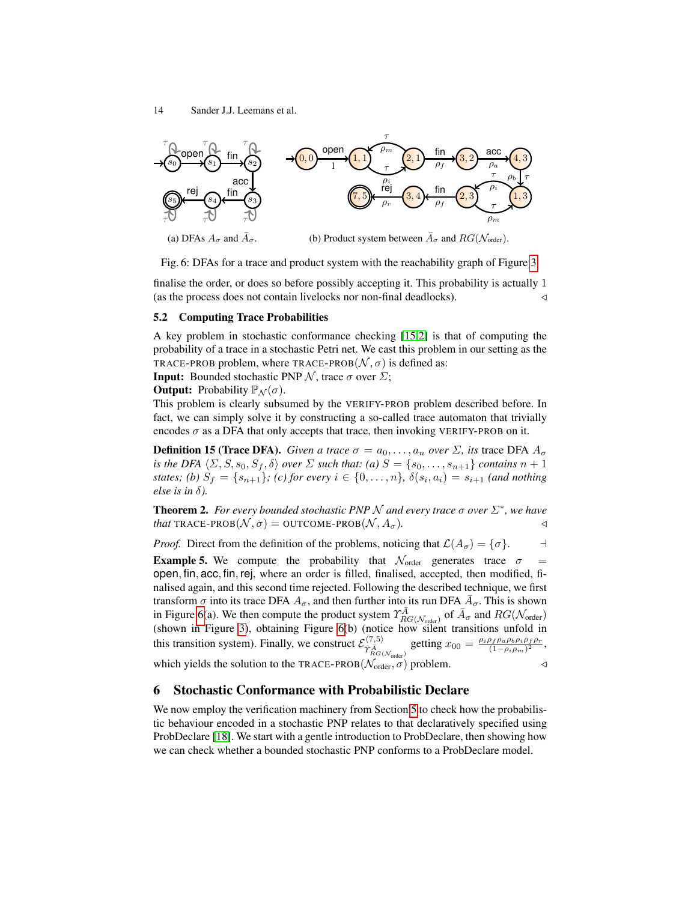<span id="page-13-0"></span>

(a) DFAs  $A_{\sigma}$  and  $\overline{A}_{\sigma}$ . (b) Product system between  $\overline{A}_{\sigma}$  and  $RG(\mathcal{N}_{order})$ .

Fig. 6: DFAs for a trace and product system with the reachability graph of Figure [3.](#page-7-0)

finalise the order, or does so before possibly accepting it. This probability is actually 1 (as the process does not contain livelocks nor non-final deadlocks).

## 5.2 Computing Trace Probabilities

A key problem in stochastic conformance checking [\[15](#page-16-6)[,2\]](#page-16-8) is that of computing the probability of a trace in a stochastic Petri net. We cast this problem in our setting as the TRACE-PROB problem, where TRACE-PROB $(N, \sigma)$  is defined as:

**Input:** Bounded stochastic PNP  $N$ , trace  $\sigma$  over  $\Sigma$ ;

**Output:** Probability  $\mathbb{P}_{\mathcal{N}}(\sigma)$ .

This problem is clearly subsumed by the VERIFY-PROB problem described before. In fact, we can simply solve it by constructing a so-called trace automaton that trivially encodes  $\sigma$  as a DFA that only accepts that trace, then invoking VERIFY-PROB on it.

**Definition 15 (Trace DFA).** *Given a trace*  $\sigma = a_0, \ldots, a_n$  *over*  $\Sigma$ *, its* trace DFA  $A_{\sigma}$ *is the DFA*  $\langle \Sigma, S, s_0, S_f, \delta \rangle$  *over*  $\Sigma$  *such that:* (*a*)  $S = \{s_0, \ldots, s_{n+1}\}$  *contains*  $n + 1$ *states; (b)*  $S_f = \{s_{n+1}\}$ ; (c) for every  $i \in \{0, ..., n\}$ ,  $\delta(s_i, a_i) = s_{i+1}$  (and nothing *else is in* δ*).*

**Theorem 2.** For every bounded stochastic PNP  $N$  and every trace  $\sigma$  over  $\Sigma^*$ , we have *that* TRACE-PROB $(N, \sigma) =$  OUTCOME-PROB $(N, A_{\sigma})$ .

*Proof.* Direct from the definition of the problems, noticing that  $\mathcal{L}(A_{\sigma}) = \{\sigma\}.$   $\Box$ 

**Example 5.** We compute the probability that  $\mathcal{N}_{\text{order}}$  generates trace  $\sigma$  = open, fin, acc, fin, rej, where an order is filled, finalised, accepted, then modified, finalised again, and this second time rejected. Following the described technique, we first transform  $\sigma$  into its trace DFA  $A_{\sigma}$ , and then further into its run DFA  $\bar{A}_{\sigma}$ . This is shown in Figure [6\(](#page-13-0)a). We then compute the product system  $\gamma^{\bar{A}}_{RG(N_{\text{order}})}$  of  $\bar{A}_{\sigma}$  and  $RG(N_{\text{order}})$ (shown in Figure [3\)](#page-7-0), obtaining Figure [6\(](#page-13-0)b) (notice how silent transitions unfold in this transition system). Finally, we construct  $\mathcal{E}^{\langle 7,5\rangle}_{\gamma^A_{RG(\mathcal{N}_{order})}}$  getting  $x_{00} = \frac{\rho_i \rho_f \rho_a \rho_b \rho_i \rho_f \rho_r}{(1 - \rho_i \rho_m)^2}$  $\frac{\left(p_f \rho_a \rho_b \rho_i \rho_f \rho_r\right)}{(1-\rho_i \rho_m)^2},$ which yields the solution to the TRACE-PROB( $\mathcal{N}_{order}, \sigma$ ) problem.

#### 6 Stochastic Conformance with Probabilistic Declare

We now employ the verification machinery from Section [5](#page-10-1) to check how the probabilistic behaviour encoded in a stochastic PNP relates to that declaratively specified using ProbDeclare [\[18\]](#page-16-10). We start with a gentle introduction to ProbDeclare, then showing how we can check whether a bounded stochastic PNP conforms to a ProbDeclare model.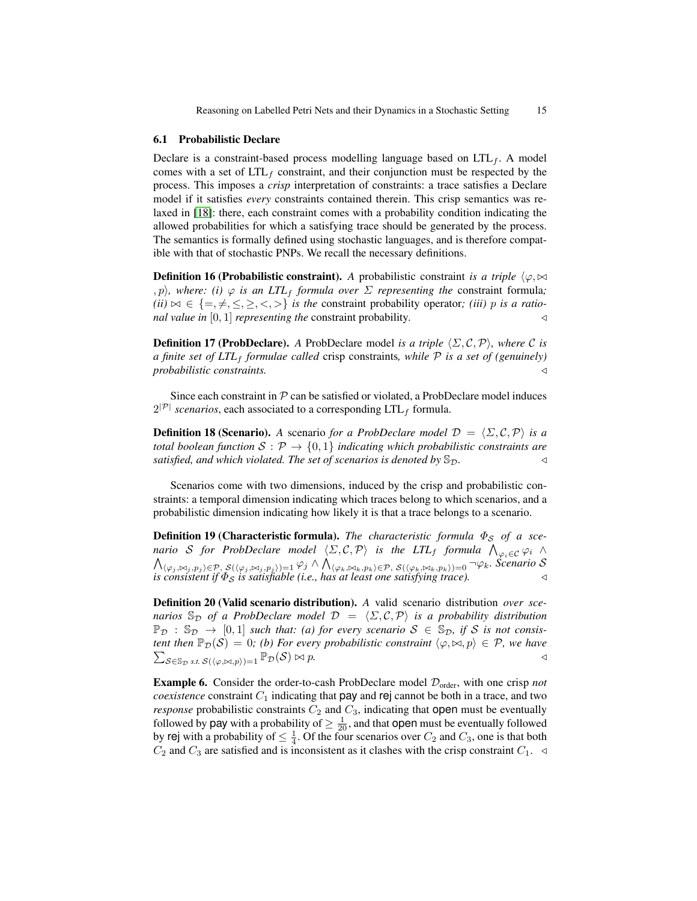#### 6.1 Probabilistic Declare

Declare is a constraint-based process modelling language based on  $LTL<sub>f</sub>$ . A model comes with a set of  $LTL_f$  constraint, and their conjunction must be respected by the process. This imposes a *crisp* interpretation of constraints: a trace satisfies a Declare model if it satisfies *every* constraints contained therein. This crisp semantics was relaxed in [\[18\]](#page-16-10): there, each constraint comes with a probability condition indicating the allowed probabilities for which a satisfying trace should be generated by the process. The semantics is formally defined using stochastic languages, and is therefore compatible with that of stochastic PNPs. We recall the necessary definitions.

**Definition 16 (Probabilistic constraint).** A probabilistic constraint *is a triple*  $\langle \varphi, \Join \rangle$  $\langle p \rangle$ , where: (i)  $\varphi$  *is an LTL<sub>f</sub> formula over*  $\Sigma$  *representing the constraint formula*;  $(ii) \bowtie \in \{ =, \neq, \leq, \geq, \lt, \gt\}$  *is the constraint probability operator; (iii)* p *is a rational value in*  $[0, 1]$  *representing the* constraint probability.

**Definition 17 (ProbDeclare).** *A* ProbDeclare model *is a triple*  $\langle \Sigma, \mathcal{C}, \mathcal{P} \rangle$ *, where*  $\mathcal{C}$  *is a finite set of LTL<sub>f</sub> formulae called* crisp constraints, while  $P$  *is a set of (genuinely)*  $probabilities$ *constraints.* 

Since each constraint in  $\mathcal P$  can be satisfied or violated, a ProbDeclare model induces  $2^{|\mathcal{P}|}$  *scenarios*, each associated to a corresponding  $LTL_f$  formula.

**Definition 18 (Scenario).** A scenario *for a ProbDeclare model*  $\mathcal{D} = \langle \Sigma, \mathcal{C}, \mathcal{P} \rangle$  *is a total boolean function*  $S : \mathcal{P} \to \{0,1\}$  *indicating which probabilistic constraints are satisfied, and which violated. The set of scenarios is denoted by*  $\mathbb{S}_{\mathcal{D}}$ .

Scenarios come with two dimensions, induced by the crisp and probabilistic constraints: a temporal dimension indicating which traces belong to which scenarios, and a probabilistic dimension indicating how likely it is that a trace belongs to a scenario.

**Definition 19 (Characteristic formula).** *The characteristic formula*  $\Phi_S$  *of a scenario S for ProbDeclare model*  $\langle \Sigma, \mathcal{C}, \mathcal{P} \rangle$  *is the LTL<sub>f</sub> formula*  $\bigwedge_{\varphi_i \in \mathcal{C}} \varphi_i$   $\land$  $\bigwedge_{\langle \varphi_j, \bowtie_j, p_j \rangle \in \mathcal{P},} \mathcal{S}(\langle \varphi_i, \bowtie_j, p_j \rangle) = 1} \varphi_j \wedge \bigwedge_{\langle \varphi_k, \bowtie_k, p_k \rangle \in \mathcal{P},} \mathcal{S}(\langle \varphi_k, \bowtie_k, p_k \rangle) = 0 \neg \varphi_k$ . Scenario S *is consistent if*  $\Phi_S$  *is satisfiable (i.e., has at least one satisfying trace).*  $\triangleleft$ 

<span id="page-14-0"></span>Definition 20 (Valid scenario distribution). *A* valid scenario distribution *over scenarios*  $\mathbb{S}_D$  *of a ProbDeclare model*  $\mathcal{D} = \langle \Sigma, \mathcal{C}, \mathcal{P} \rangle$  *is a probability distribution*  $\mathbb{P}_{\mathcal{D}}$  :  $\mathbb{S}_{\mathcal{D}} \to [0,1]$  *such that: (a) for every scenario*  $S \in \mathbb{S}_{\mathcal{D}}$ *, if* S *is not consis-* $\sum_{\mathcal{S}\in\mathbb{S}_{\mathcal{D}}}$  *s.t.*  $\mathcal{S}(\langle\varphi,\bowtie,p\rangle)=1} \mathbb{P}_{\mathcal{D}}(\mathcal{S})\bowtie p.$ *tent then*  $\mathbb{P}_{\mathcal{D}}(\mathcal{S}) = 0$ *; (b) For every probabilistic constraint*  $\langle \varphi, \bowtie, p \rangle \in \mathcal{P}$ *, we have* 

**Example 6.** Consider the order-to-cash ProbDeclare model  $\mathcal{D}_{\text{order}}$ , with one crisp *not coexistence* constraint  $C_1$  indicating that pay and rej cannot be both in a trace, and two *response* probabilistic constraints  $C_2$  and  $C_3$ , indicating that open must be eventually followed by pay with a probability of  $\geq \frac{1}{20}$ , and that open must be eventually followed by rej with a probability of  $\leq \frac{1}{4}$ . Of the four scenarios over  $C_2$  and  $C_3$ , one is that both  $C_2$  and  $C_3$  are satisfied and is inconsistent as it clashes with the crisp constraint  $C_1$ .  $\triangleleft$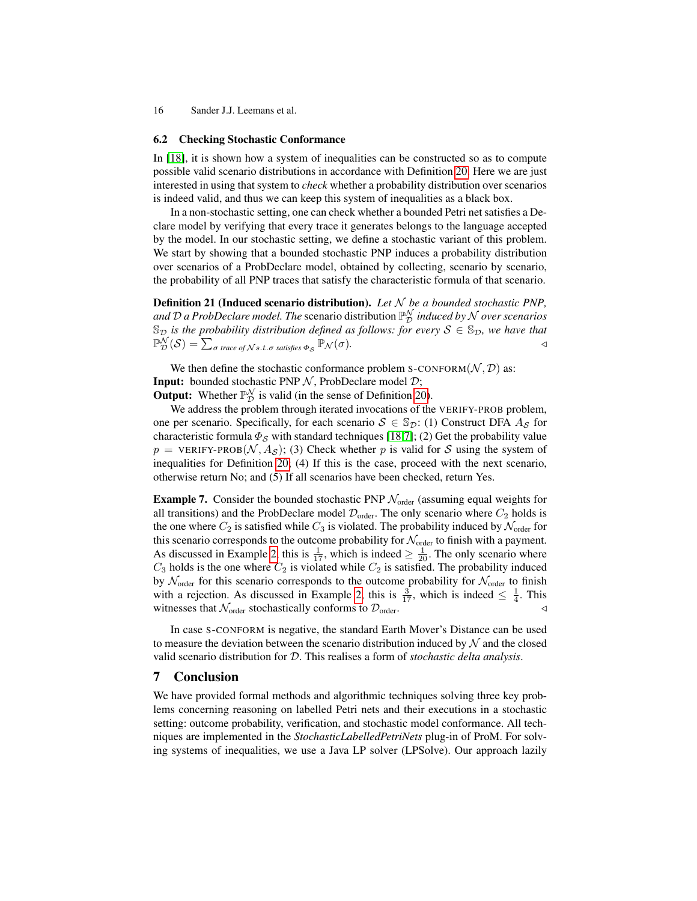#### 6.2 Checking Stochastic Conformance

In [\[18\]](#page-16-10), it is shown how a system of inequalities can be constructed so as to compute possible valid scenario distributions in accordance with Definition [20.](#page-14-0) Here we are just interested in using that system to *check* whether a probability distribution over scenarios is indeed valid, and thus we can keep this system of inequalities as a black box.

In a non-stochastic setting, one can check whether a bounded Petri net satisfies a Declare model by verifying that every trace it generates belongs to the language accepted by the model. In our stochastic setting, we define a stochastic variant of this problem. We start by showing that a bounded stochastic PNP induces a probability distribution over scenarios of a ProbDeclare model, obtained by collecting, scenario by scenario, the probability of all PNP traces that satisfy the characteristic formula of that scenario.

Definition 21 (Induced scenario distribution). *Let* N *be a bounded stochastic PNP, and* D *a ProbDeclare model. The* scenario distribution P N <sup>D</sup> *induced by* N *over scenarios*  $\mathcal{S}_{\mathcal{D}}$  *is the probability distribution defined as follows: for every*  $S \in \mathcal{S}_{\mathcal{D}}$ *, we have that*  $\mathbb{P}^{\mathcal{N}}_{\mathcal{D}}(\mathcal{S}) = \sum_{\sigma \text{ trace of } \mathcal{N}\text{ s.t. } \sigma \text{ satisfies } \Phi_{\mathcal{S}}}\mathbb{P}_{\mathcal{N}}(\sigma).$ 

We then define the stochastic conformance problem S-CONFORM $(N, D)$  as: **Input:** bounded stochastic PNP  $N$ , ProbDeclare model  $D$ ;

**Output:** Whether  $\mathbb{P}_{\mathcal{D}}^{\mathcal{N}}$  is valid (in the sense of Definition [20\)](#page-14-0).

We address the problem through iterated invocations of the VERIFY-PROB problem, one per scenario. Specifically, for each scenario  $S \in \mathbb{S}_{\mathcal{D}}$ : (1) Construct DFA  $A_{\mathcal{S}}$  for characteristic formula  $\Phi_{\mathcal{S}}$  with standard techniques [\[18,](#page-16-10)[7\]](#page-16-20); (2) Get the probability value  $p = \text{VERIFY-PROB}(\mathcal{N}, A_{\mathcal{S}});$  (3) Check whether p is valid for S using the system of inequalities for Definition [20;](#page-14-0) (4) If this is the case, proceed with the next scenario, otherwise return No; and (5) If all scenarios have been checked, return Yes.

**Example 7.** Consider the bounded stochastic PNP  $\mathcal{N}_{\text{order}}$  (assuming equal weights for all transitions) and the ProbDeclare model  $\mathcal{D}_{\text{order}}$ . The only scenario where  $C_2$  holds is the one where  $C_2$  is satisfied while  $C_3$  is violated. The probability induced by  $\mathcal{N}_{\text{order}}$  for this scenario corresponds to the outcome probability for  $\mathcal{N}_{order}$  to finish with a payment. As discussed in Example [2,](#page-9-2) this is  $\frac{1}{17}$ , which is indeed  $\geq \frac{1}{20}$ . The only scenario where  $C_3$  holds is the one where  $C_2$  is violated while  $C_2$  is satisfied. The probability induced by  $\mathcal{N}_{\text{order}}$  for this scenario corresponds to the outcome probability for  $\mathcal{N}_{\text{order}}$  to finish with a rejection. As discussed in Example [2,](#page-9-2) this is  $\frac{3}{17}$ , which is indeed  $\leq \frac{1}{4}$ . This witnesses that  $\mathcal{N}_{order}$  stochastically conforms to  $\mathcal{D}_{order}$ .

In case S-CONFORM is negative, the standard Earth Mover's Distance can be used to measure the deviation between the scenario distribution induced by  $\mathcal N$  and the closed valid scenario distribution for D. This realises a form of *stochastic delta analysis*.

## 7 Conclusion

We have provided formal methods and algorithmic techniques solving three key problems concerning reasoning on labelled Petri nets and their executions in a stochastic setting: outcome probability, verification, and stochastic model conformance. All techniques are implemented in the *StochasticLabelledPetriNets* plug-in of ProM. For solving systems of inequalities, we use a Java LP solver (LPSolve). Our approach lazily